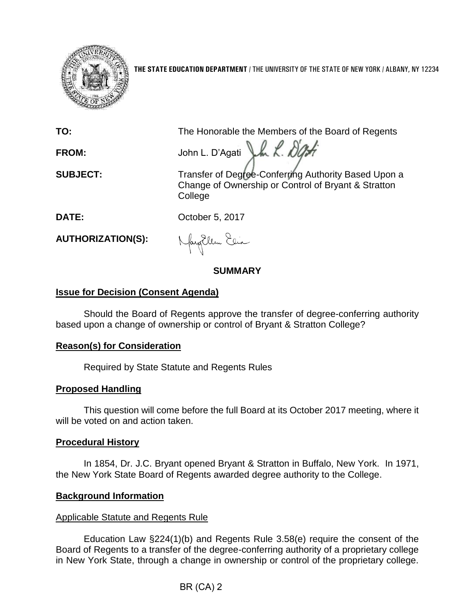

**THE STATE EDUCATION DEPARTMENT** / THE UNIVERSITY OF THE STATE OF NEW YORK / ALBANY, NY 12234

**TO:** The Honorable the Members of the Board of Regents

FROM: John L. D'Agati Lk R. DOM

**SUBJECT:** Transfer of Degree-Conferring Authority Based Upon a Change of Ownership or Control of Bryant & Stratton College

**DATE:** October 5, 2017

**AUTHORIZATION(S):**

Nagellem Elia

# **SUMMARY**

### **Issue for Decision (Consent Agenda)**

Should the Board of Regents approve the transfer of degree-conferring authority based upon a change of ownership or control of Bryant & Stratton College?

# **Reason(s) for Consideration**

Required by State Statute and Regents Rules

# **Proposed Handling**

This question will come before the full Board at its October 2017 meeting, where it will be voted on and action taken.

### **Procedural History**

In 1854, Dr. J.C. Bryant opened Bryant & Stratton in Buffalo, New York. In 1971, the New York State Board of Regents awarded degree authority to the College.

# **Background Information**

### Applicable Statute and Regents Rule

Education Law §224(1)(b) and Regents Rule 3.58(e) require the consent of the Board of Regents to a transfer of the degree-conferring authority of a proprietary college in New York State, through a change in ownership or control of the proprietary college.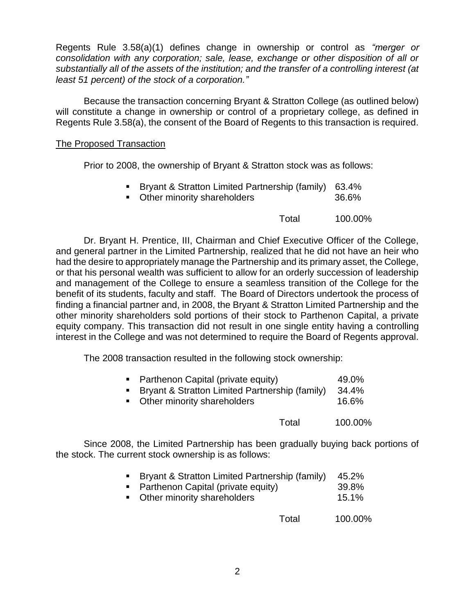Regents Rule 3.58(a)(1) defines change in ownership or control as *"merger or consolidation with any corporation; sale, lease, exchange or other disposition of all or substantially all of the assets of the institution; and the transfer of a controlling interest (at least 51 percent) of the stock of a corporation."*

Because the transaction concerning Bryant & Stratton College (as outlined below) will constitute a change in ownership or control of a proprietary college, as defined in Regents Rule 3.58(a), the consent of the Board of Regents to this transaction is required.

### The Proposed Transaction

Prior to 2008, the ownership of Bryant & Stratton stock was as follows:

- Bryant & Stratton Limited Partnership (family) 63.4%
- Other minority shareholders 36.6%
	- Total 100.00%

Dr. Bryant H. Prentice, III, Chairman and Chief Executive Officer of the College, and general partner in the Limited Partnership, realized that he did not have an heir who had the desire to appropriately manage the Partnership and its primary asset, the College, or that his personal wealth was sufficient to allow for an orderly succession of leadership and management of the College to ensure a seamless transition of the College for the benefit of its students, faculty and staff. The Board of Directors undertook the process of finding a financial partner and, in 2008, the Bryant & Stratton Limited Partnership and the other minority shareholders sold portions of their stock to Parthenon Capital, a private equity company. This transaction did not result in one single entity having a controlling interest in the College and was not determined to require the Board of Regents approval.

The 2008 transaction resulted in the following stock ownership:

| • Parthenon Capital (private equity)           | 49.0% |
|------------------------------------------------|-------|
| Bryant & Stratton Limited Partnership (family) | 34.4% |
| Other minority shareholders                    | 16.6% |

Total 100.00%

Since 2008, the Limited Partnership has been gradually buying back portions of the stock. The current stock ownership is as follows:

|  |  | ■ Bryant & Stratton Limited Partnership (family) 45.2% |  |
|--|--|--------------------------------------------------------|--|
|  |  |                                                        |  |

- Parthenon Capital (private equity) 39.8%
- Other minority shareholders 15.1%

Total 100.00%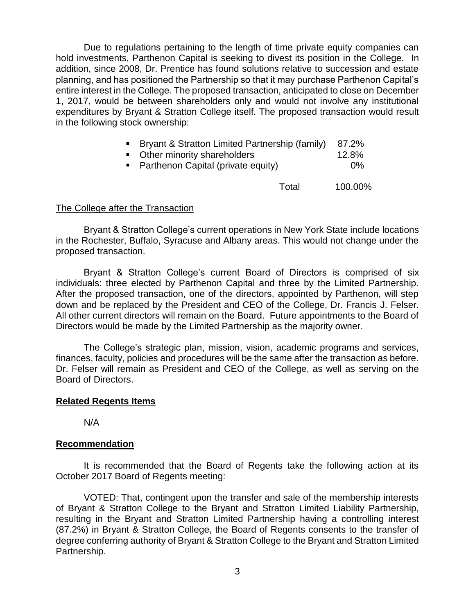Due to regulations pertaining to the length of time private equity companies can hold investments, Parthenon Capital is seeking to divest its position in the College. In addition, since 2008, Dr. Prentice has found solutions relative to succession and estate planning, and has positioned the Partnership so that it may purchase Parthenon Capital's entire interest in the College. The proposed transaction, anticipated to close on December 1, 2017, would be between shareholders only and would not involve any institutional expenditures by Bryant & Stratton College itself. The proposed transaction would result in the following stock ownership:

| • Bryant & Stratton Limited Partnership (family) | 87.2% |
|--------------------------------------------------|-------|
| • Other minority shareholders                    | 12.8% |
| • Parthenon Capital (private equity)             | $0\%$ |
|                                                  |       |

Total 100.00%

#### The College after the Transaction

Bryant & Stratton College's current operations in New York State include locations in the Rochester, Buffalo, Syracuse and Albany areas. This would not change under the proposed transaction.

Bryant & Stratton College's current Board of Directors is comprised of six individuals: three elected by Parthenon Capital and three by the Limited Partnership. After the proposed transaction, one of the directors, appointed by Parthenon, will step down and be replaced by the President and CEO of the College, Dr. Francis J. Felser. All other current directors will remain on the Board. Future appointments to the Board of Directors would be made by the Limited Partnership as the majority owner.

The College's strategic plan, mission, vision, academic programs and services, finances, faculty, policies and procedures will be the same after the transaction as before. Dr. Felser will remain as President and CEO of the College, as well as serving on the Board of Directors.

#### **Related Regents Items**

N/A

#### **Recommendation**

It is recommended that the Board of Regents take the following action at its October 2017 Board of Regents meeting:

VOTED: That, contingent upon the transfer and sale of the membership interests of Bryant & Stratton College to the Bryant and Stratton Limited Liability Partnership, resulting in the Bryant and Stratton Limited Partnership having a controlling interest (87.2%) in Bryant & Stratton College, the Board of Regents consents to the transfer of degree conferring authority of Bryant & Stratton College to the Bryant and Stratton Limited Partnership.